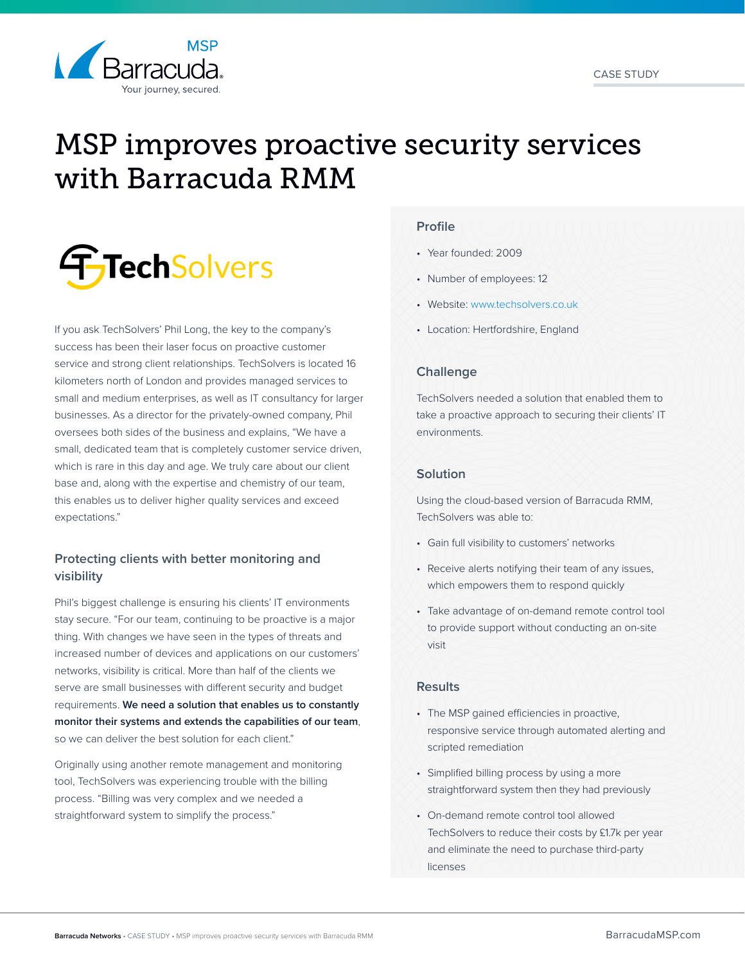

# MSP improves proactive security services with Barracuda RMM



If you ask TechSolvers' Phil Long, the key to the company's success has been their laser focus on proactive customer service and strong client relationships. TechSolvers is located 16 kilometers north of London and provides managed services to small and medium enterprises, as well as IT consultancy for larger businesses. As a director for the privately-owned company, Phil oversees both sides of the business and explains, "We have a small, dedicated team that is completely customer service driven, which is rare in this day and age. We truly care about our client base and, along with the expertise and chemistry of our team, this enables us to deliver higher quality services and exceed expectations."

## **Protecting clients with better monitoring and visibility**

Phil's biggest challenge is ensuring his clients' IT environments stay secure. "For our team, continuing to be proactive is a major thing. With changes we have seen in the types of threats and increased number of devices and applications on our customers' networks, visibility is critical. More than half of the clients we serve are small businesses with different security and budget requirements. **We need a solution that enables us to constantly monitor their systems and extends the capabilities of our team**, so we can deliver the best solution for each client."

Originally using another remote management and monitoring tool, TechSolvers was experiencing trouble with the billing process. "Billing was very complex and we needed a straightforward system to simplify the process."

#### **Profile**

- Year founded: 2009
- Number of employees: 12
- Website: [www.techsolvers.co.uk](http://www.techsolvers.co.uk)
- Location: Hertfordshire, England

### **Challenge**

TechSolvers needed a solution that enabled them to take a proactive approach to securing their clients' IT environments.

#### **Solution**

Using the cloud-based version of Barracuda RMM, TechSolvers was able to:

- Gain full visibility to customers' networks
- Receive alerts notifying their team of any issues, which empowers them to respond quickly
- Take advantage of on-demand remote control tool to provide support without conducting an on-site visit

#### **Results**

- The MSP gained efficiencies in proactive, responsive service through automated alerting and scripted remediation
- Simplified billing process by using a more straightforward system then they had previously
- On-demand remote control tool allowed TechSolvers to reduce their costs by £1.7k per year and eliminate the need to purchase third-party licenses